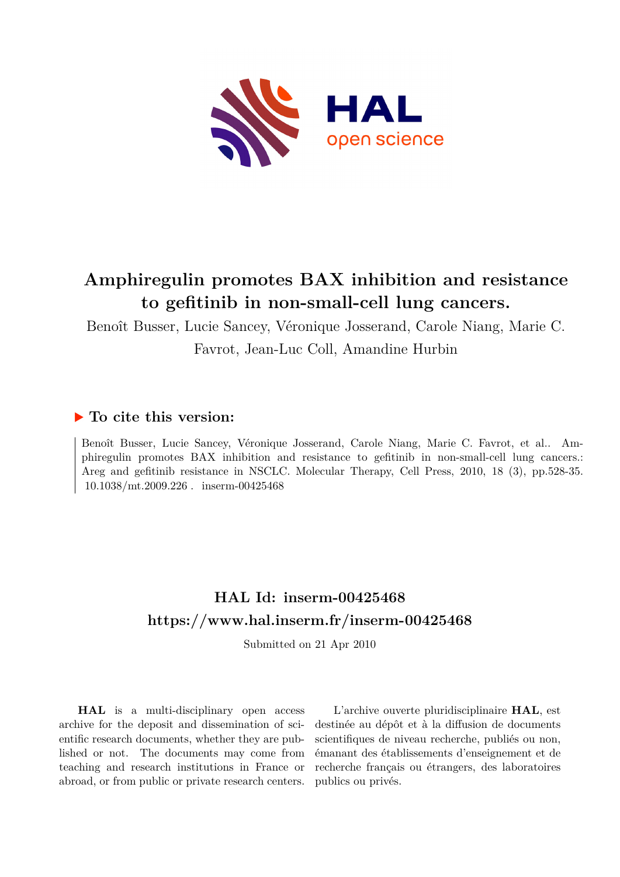

# **Amphiregulin promotes BAX inhibition and resistance to gefitinib in non-small-cell lung cancers.**

Benoît Busser, Lucie Sancey, Véronique Josserand, Carole Niang, Marie C. Favrot, Jean-Luc Coll, Amandine Hurbin

## **To cite this version:**

Benoît Busser, Lucie Sancey, Véronique Josserand, Carole Niang, Marie C. Favrot, et al.. Amphiregulin promotes BAX inhibition and resistance to gefitinib in non-small-cell lung cancers.: Areg and gefitinib resistance in NSCLC. Molecular Therapy, Cell Press, 2010, 18 (3), pp.528-35.  $10.1038/mL2009.226$ . inserm-00425468

## **HAL Id: inserm-00425468 <https://www.hal.inserm.fr/inserm-00425468>**

Submitted on 21 Apr 2010

**HAL** is a multi-disciplinary open access archive for the deposit and dissemination of scientific research documents, whether they are published or not. The documents may come from teaching and research institutions in France or abroad, or from public or private research centers.

L'archive ouverte pluridisciplinaire **HAL**, est destinée au dépôt et à la diffusion de documents scientifiques de niveau recherche, publiés ou non, émanant des établissements d'enseignement et de recherche français ou étrangers, des laboratoires publics ou privés.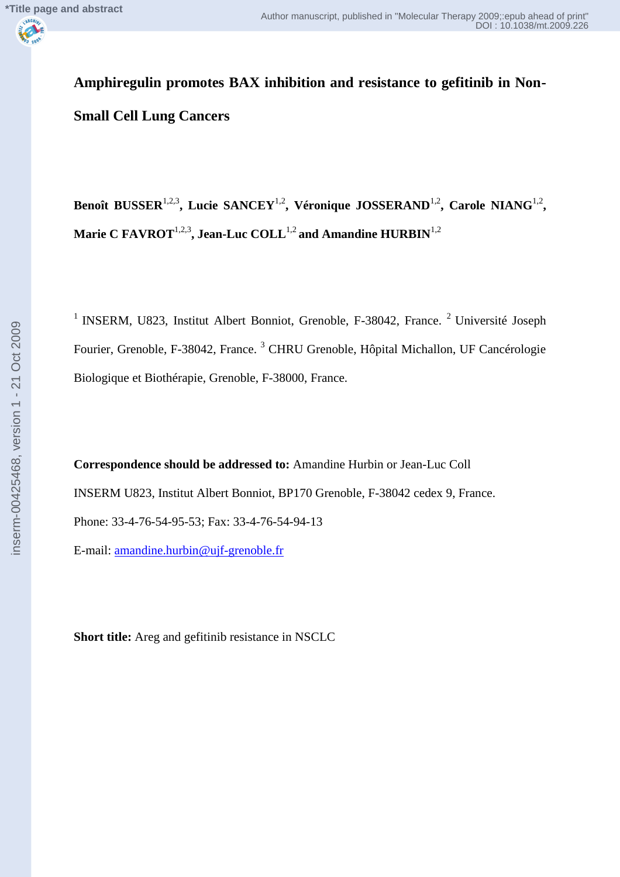**Amphiregulin promotes BAX inhibition and resistance to gefitinib in Non-Small Cell Lung Cancers**

Benoît BUSSER<sup>1,2,3</sup>, Lucie SANCEY<sup>1,2</sup>, Véronique JOSSERAND<sup>1,2</sup>, Carole NIANG<sup>1,2</sup>, **Marie C FAVROT**1,2,3**, Jean-Luc COLL**1,2 **and Amandine HURBIN**1,2

<sup>1</sup> INSERM, U823, Institut Albert Bonniot, Grenoble, F-38042, France.<sup>2</sup> Université Joseph Fourier, Grenoble, F-38042, France. <sup>3</sup> CHRU Grenoble, Hôpital Michallon, UF Cancérologie Biologique et Biothérapie, Grenoble, F-38000, France.

**Correspondence should be addressed to:** Amandine Hurbin or Jean-Luc Coll INSERM U823, Institut Albert Bonniot, BP170 Grenoble, F-38042 cedex 9, France. Phone: 33-4-76-54-95-53; Fax: 33-4-76-54-94-13

E-mail: [amandine.hurbin@ujf-grenoble.fr](mailto:amandine.hurbin@ujf-grenoble.fr)

**Short title:** Areg and gefitinib resistance in NSCLC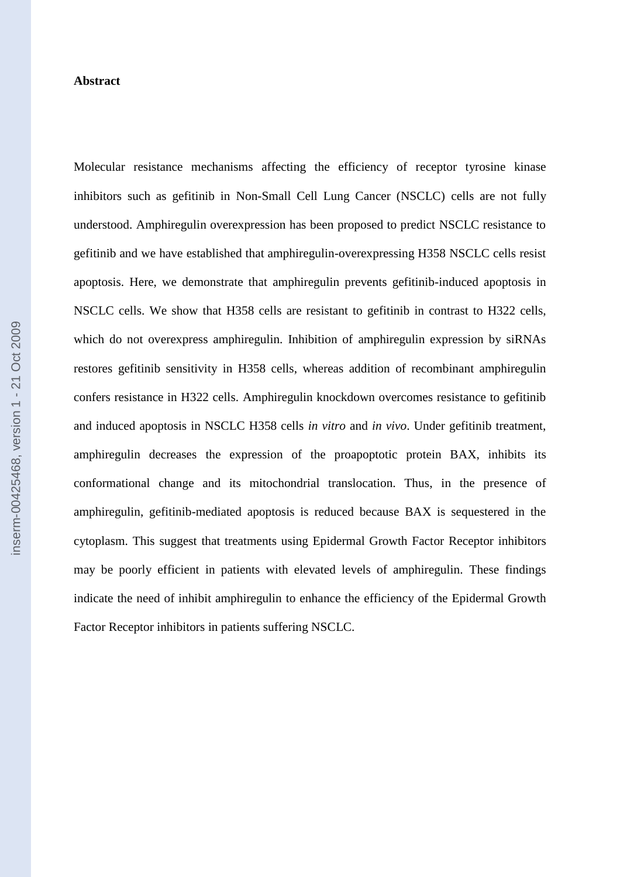#### **Abstract**

Molecular resistance mechanisms affecting the efficiency of receptor tyrosine kinase inhibitors such as gefitinib in Non-Small Cell Lung Cancer (NSCLC) cells are not fully understood. Amphiregulin overexpression has been proposed to predict NSCLC resistance to gefitinib and we have established that amphiregulin-overexpressing H358 NSCLC cells resist apoptosis. Here, we demonstrate that amphiregulin prevents gefitinib-induced apoptosis in NSCLC cells. We show that H358 cells are resistant to gefitinib in contrast to H322 cells, which do not overexpress amphiregulin. Inhibition of amphiregulin expression by siRNAs restores gefitinib sensitivity in H358 cells, whereas addition of recombinant amphiregulin confers resistance in H322 cells. Amphiregulin knockdown overcomes resistance to gefitinib and induced apoptosis in NSCLC H358 cells *in vitro* and *in vivo*. Under gefitinib treatment, amphiregulin decreases the expression of the proapoptotic protein BAX, inhibits its conformational change and its mitochondrial translocation. Thus, in the presence of amphiregulin, gefitinib-mediated apoptosis is reduced because BAX is sequestered in the cytoplasm. This suggest that treatments using Epidermal Growth Factor Receptor inhibitors may be poorly efficient in patients with elevated levels of amphiregulin. These findings indicate the need of inhibit amphiregulin to enhance the efficiency of the Epidermal Growth Factor Receptor inhibitors in patients suffering NSCLC.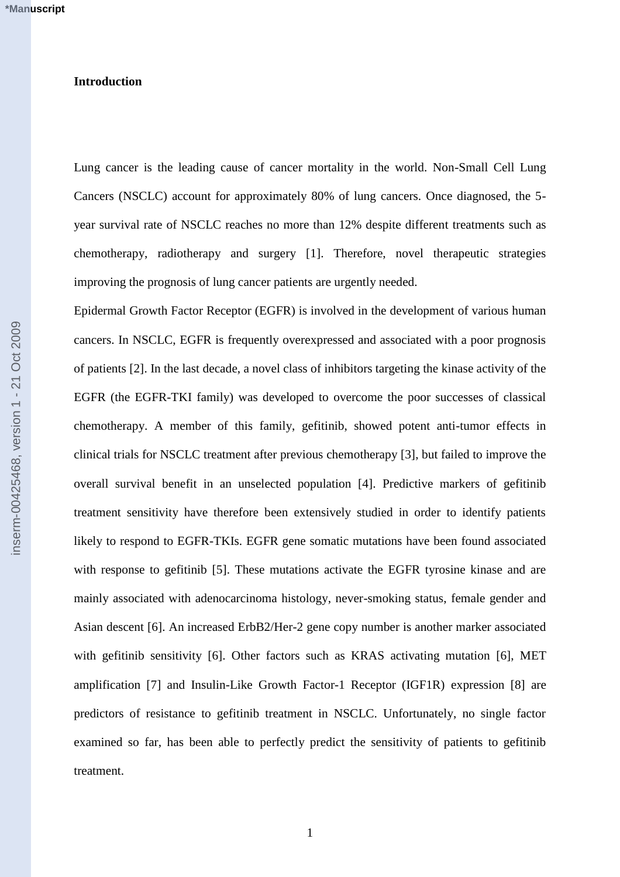#### **Introduction**

Lung cancer is the leading cause of cancer mortality in the world. Non-Small Cell Lung Cancers (NSCLC) account for approximately 80% of lung cancers. Once diagnosed, the 5 year survival rate of NSCLC reaches no more than 12% despite different treatments such as chemotherapy, radiotherapy and surgery [1]. Therefore, novel therapeutic strategies improving the prognosis of lung cancer patients are urgently needed.

Epidermal Growth Factor Receptor (EGFR) is involved in the development of various human cancers. In NSCLC, EGFR is frequently overexpressed and associated with a poor prognosis of patients [2]. In the last decade, a novel class of inhibitors targeting the kinase activity of the EGFR (the EGFR-TKI family) was developed to overcome the poor successes of classical chemotherapy. A member of this family, gefitinib, showed potent anti-tumor effects in clinical trials for NSCLC treatment after previous chemotherapy [3], but failed to improve the overall survival benefit in an unselected population [4]. Predictive markers of gefitinib treatment sensitivity have therefore been extensively studied in order to identify patients likely to respond to EGFR-TKIs. EGFR gene somatic mutations have been found associated with response to gefitinib [5]. These mutations activate the EGFR tyrosine kinase and are mainly associated with adenocarcinoma histology, never-smoking status, female gender and Asian descent [6]. An increased ErbB2/Her-2 gene copy number is another marker associated with gefitinib sensitivity [6]. Other factors such as KRAS activating mutation [6], MET amplification [7] and Insulin-Like Growth Factor-1 Receptor (IGF1R) expression [8] are predictors of resistance to gefitinib treatment in NSCLC. Unfortunately, no single factor examined so far, has been able to perfectly predict the sensitivity of patients to gefitinib treatment.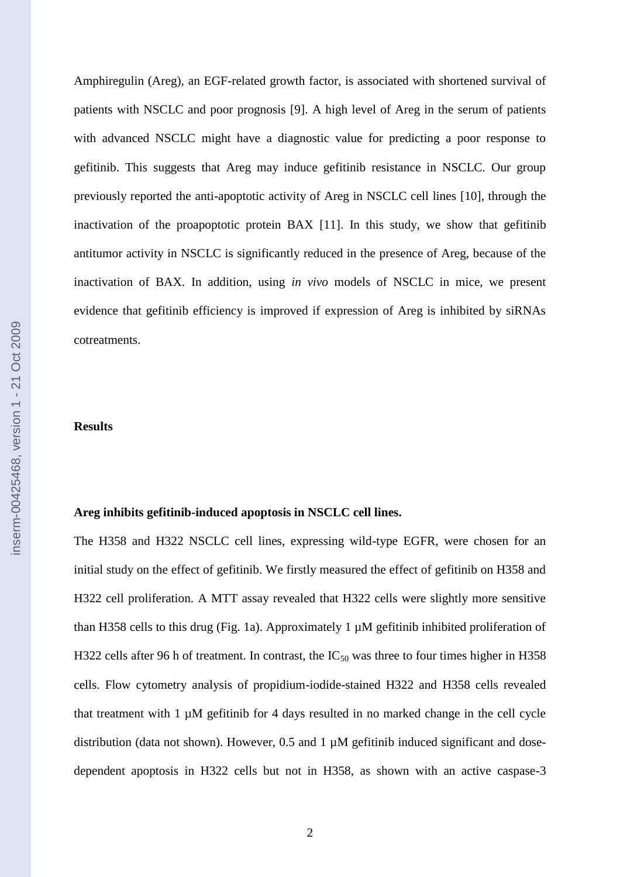Amphiregulin (Areg), an EGF-related growth factor, is associated with shortened survival of patients with NSCLC and poor prognosis [9]. A high level of Areg in the serum of patients with advanced NSCLC might have a diagnostic value for predicting a poor response to gefitinib. This suggests that Areg may induce gefitinib resistance in NSCLC. Our group previously reported the anti-apoptotic activity of Areg in NSCLC cell lines [10], through the inactivation of the proapoptotic protein BAX [11]. In this study, we show that gefitinib antitumor activity in NSCLC is significantly reduced in the presence of Areg, because of the inactivation of BAX. In addition, using *in vivo* models of NSCLC in mice, we present evidence that gefitinib efficiency is improved if expression of Areg is inhibited by siRNAs cotreatments.

#### **Results**

## **Areg inhibits gefitinib-induced apoptosis in NSCLC cell lines.**

The H358 and H322 NSCLC cell lines, expressing wild-type EGFR, were chosen for an initial study on the effect of gefitinib. We firstly measured the effect of gefitinib on H358 and H322 cell proliferation. A MTT assay revealed that H322 cells were slightly more sensitive than H358 cells to this drug (Fig. 1a). Approximately 1 µM gefitinib inhibited proliferation of H322 cells after 96 h of treatment. In contrast, the  $IC_{50}$  was three to four times higher in H358 cells. Flow cytometry analysis of propidium-iodide-stained H322 and H358 cells revealed that treatment with 1 µM gefitinib for 4 days resulted in no marked change in the cell cycle distribution (data not shown). However, 0.5 and 1 µM gefitinib induced significant and dosedependent apoptosis in H322 cells but not in H358, as shown with an active caspase-3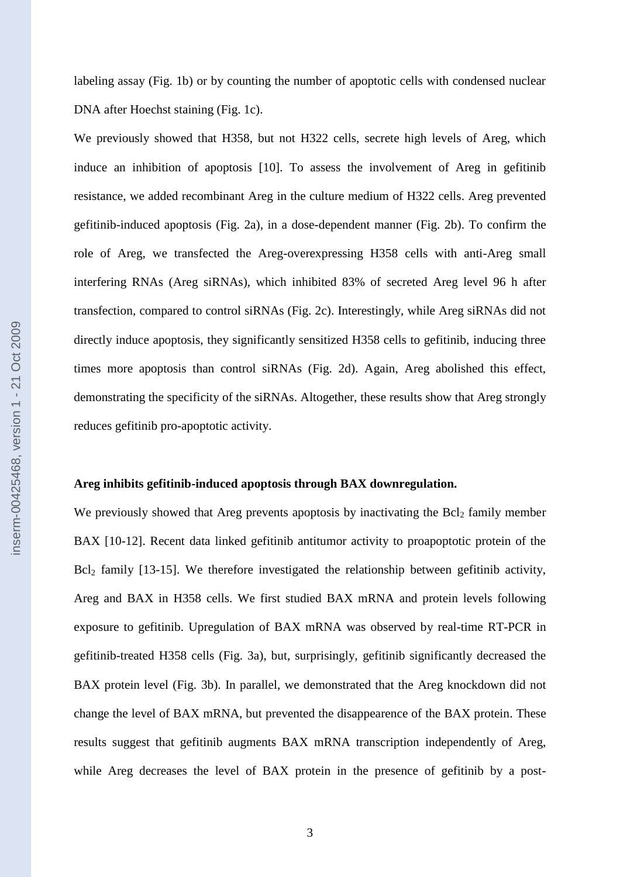labeling assay (Fig. 1b) or by counting the number of apoptotic cells with condensed nuclear DNA after Hoechst staining (Fig. 1c).

We previously showed that H358, but not H322 cells, secrete high levels of Areg, which induce an inhibition of apoptosis [10]. To assess the involvement of Areg in gefitinib resistance, we added recombinant Areg in the culture medium of H322 cells. Areg prevented gefitinib-induced apoptosis (Fig. 2a), in a dose-dependent manner (Fig. 2b). To confirm the role of Areg, we transfected the Areg-overexpressing H358 cells with anti-Areg small interfering RNAs (Areg siRNAs), which inhibited 83% of secreted Areg level 96 h after transfection, compared to control siRNAs (Fig. 2c). Interestingly, while Areg siRNAs did not directly induce apoptosis, they significantly sensitized H358 cells to gefitinib, inducing three times more apoptosis than control siRNAs (Fig. 2d). Again, Areg abolished this effect, demonstrating the specificity of the siRNAs. Altogether, these results show that Areg strongly reduces gefitinib pro-apoptotic activity.

## **Areg inhibits gefitinib-induced apoptosis through BAX downregulation.**

We previously showed that Areg prevents apoptosis by inactivating the  $Bcl<sub>2</sub>$  family member BAX [10-12]. Recent data linked gefitinib antitumor activity to proapoptotic protein of the  $Bcl<sub>2</sub>$  family [13-15]. We therefore investigated the relationship between gefitinib activity, Areg and BAX in H358 cells. We first studied BAX mRNA and protein levels following exposure to gefitinib. Upregulation of BAX mRNA was observed by real-time RT-PCR in gefitinib-treated H358 cells (Fig. 3a), but, surprisingly, gefitinib significantly decreased the BAX protein level (Fig. 3b). In parallel, we demonstrated that the Areg knockdown did not change the level of BAX mRNA, but prevented the disappearence of the BAX protein. These results suggest that gefitinib augments BAX mRNA transcription independently of Areg, while Areg decreases the level of BAX protein in the presence of gefitinib by a post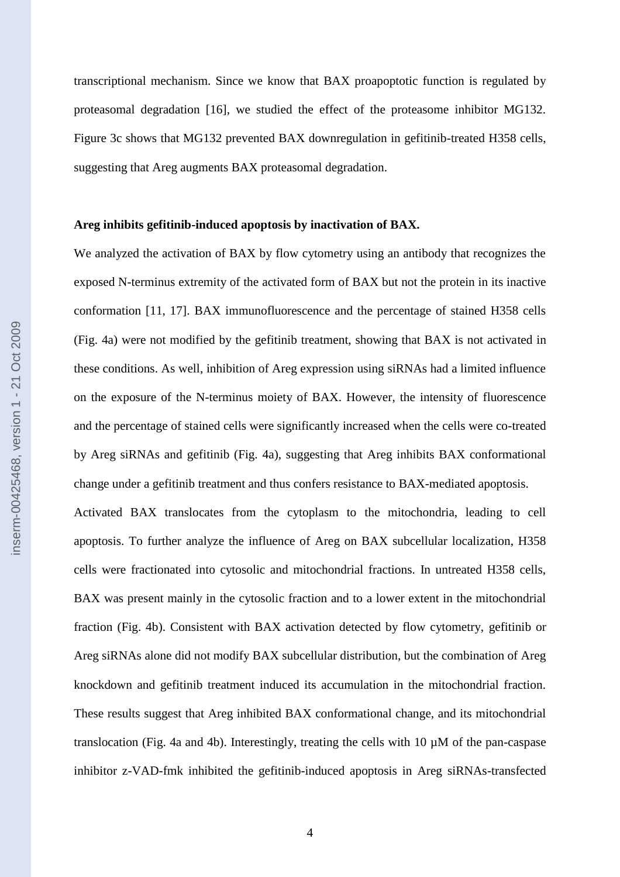transcriptional mechanism. Since we know that BAX proapoptotic function is regulated by proteasomal degradation [16], we studied the effect of the proteasome inhibitor MG132. Figure 3c shows that MG132 prevented BAX downregulation in gefitinib-treated H358 cells, suggesting that Areg augments BAX proteasomal degradation.

#### **Areg inhibits gefitinib-induced apoptosis by inactivation of BAX.**

We analyzed the activation of BAX by flow cytometry using an antibody that recognizes the exposed N-terminus extremity of the activated form of BAX but not the protein in its inactive conformation [11, 17]. BAX immunofluorescence and the percentage of stained H358 cells (Fig. 4a) were not modified by the gefitinib treatment, showing that BAX is not activated in these conditions. As well, inhibition of Areg expression using siRNAs had a limited influence on the exposure of the N-terminus moiety of BAX. However, the intensity of fluorescence and the percentage of stained cells were significantly increased when the cells were co-treated by Areg siRNAs and gefitinib (Fig. 4a), suggesting that Areg inhibits BAX conformational change under a gefitinib treatment and thus confers resistance to BAX-mediated apoptosis.

Activated BAX translocates from the cytoplasm to the mitochondria, leading to cell apoptosis. To further analyze the influence of Areg on BAX subcellular localization, H358 cells were fractionated into cytosolic and mitochondrial fractions. In untreated H358 cells, BAX was present mainly in the cytosolic fraction and to a lower extent in the mitochondrial fraction (Fig. 4b). Consistent with BAX activation detected by flow cytometry, gefitinib or Areg siRNAs alone did not modify BAX subcellular distribution, but the combination of Areg knockdown and gefitinib treatment induced its accumulation in the mitochondrial fraction. These results suggest that Areg inhibited BAX conformational change, and its mitochondrial translocation (Fig. 4a and 4b). Interestingly, treating the cells with  $10 \mu M$  of the pan-caspase inhibitor z-VAD-fmk inhibited the gefitinib-induced apoptosis in Areg siRNAs-transfected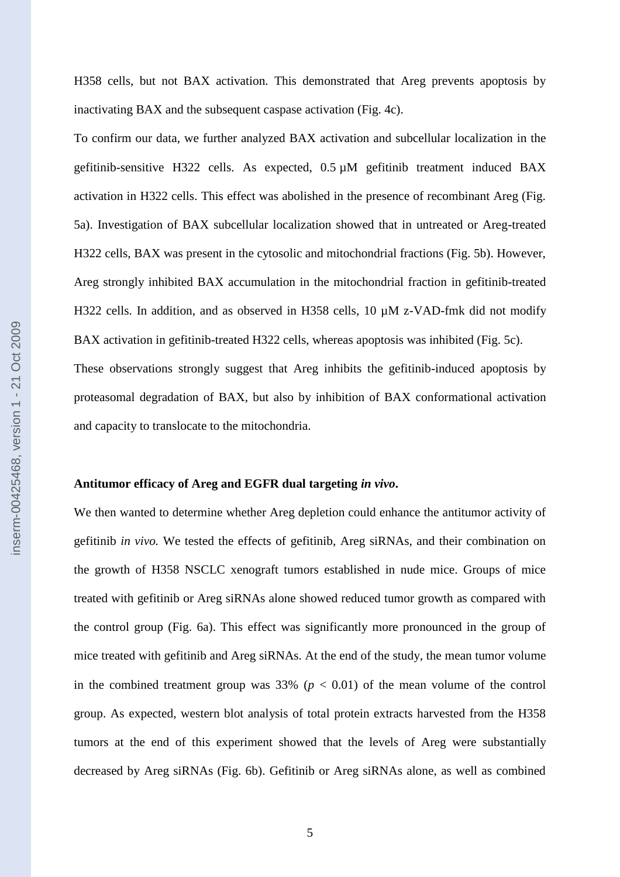H358 cells, but not BAX activation. This demonstrated that Areg prevents apoptosis by inactivating BAX and the subsequent caspase activation (Fig. 4c).

To confirm our data, we further analyzed BAX activation and subcellular localization in the gefitinib-sensitive H322 cells. As expected, 0.5 µM gefitinib treatment induced BAX activation in H322 cells. This effect was abolished in the presence of recombinant Areg (Fig. 5a). Investigation of BAX subcellular localization showed that in untreated or Areg-treated H322 cells, BAX was present in the cytosolic and mitochondrial fractions (Fig. 5b). However, Areg strongly inhibited BAX accumulation in the mitochondrial fraction in gefitinib-treated H322 cells. In addition, and as observed in H358 cells, 10  $\mu$ M z-VAD-fmk did not modify BAX activation in gefitinib-treated H322 cells, whereas apoptosis was inhibited (Fig. 5c). These observations strongly suggest that Areg inhibits the gefitinib-induced apoptosis by proteasomal degradation of BAX, but also by inhibition of BAX conformational activation and capacity to translocate to the mitochondria.

#### **Antitumor efficacy of Areg and EGFR dual targeting** *in vivo***.**

We then wanted to determine whether Areg depletion could enhance the antitumor activity of gefitinib *in vivo.* We tested the effects of gefitinib, Areg siRNAs, and their combination on the growth of H358 NSCLC xenograft tumors established in nude mice. Groups of mice treated with gefitinib or Areg siRNAs alone showed reduced tumor growth as compared with the control group (Fig. 6a). This effect was significantly more pronounced in the group of mice treated with gefitinib and Areg siRNAs. At the end of the study, the mean tumor volume in the combined treatment group was  $33\%$  ( $p < 0.01$ ) of the mean volume of the control group. As expected, western blot analysis of total protein extracts harvested from the H358 tumors at the end of this experiment showed that the levels of Areg were substantially decreased by Areg siRNAs (Fig. 6b). Gefitinib or Areg siRNAs alone, as well as combined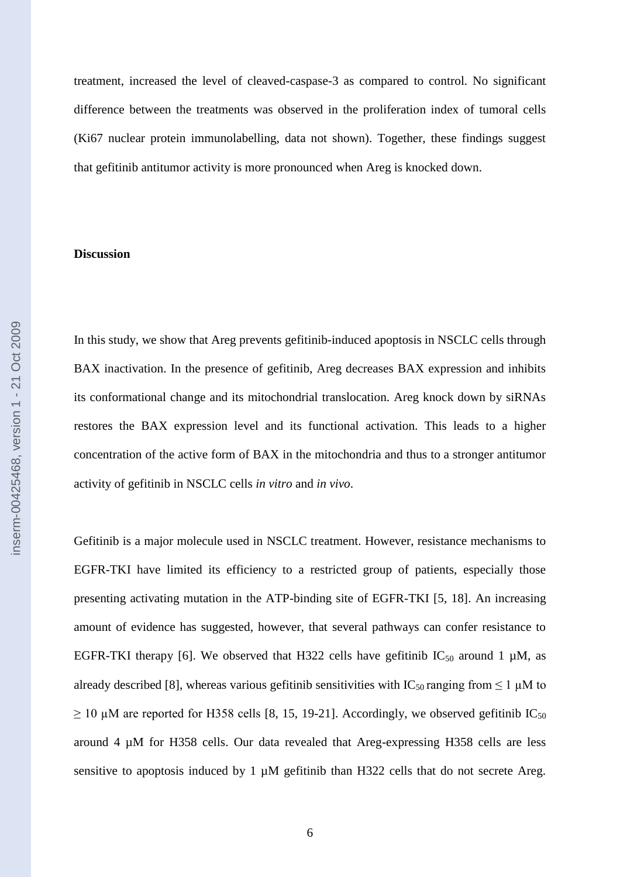treatment, increased the level of cleaved-caspase-3 as compared to control. No significant difference between the treatments was observed in the proliferation index of tumoral cells (Ki67 nuclear protein immunolabelling, data not shown). Together, these findings suggest that gefitinib antitumor activity is more pronounced when Areg is knocked down.

#### **Discussion**

In this study, we show that Areg prevents gefitinib-induced apoptosis in NSCLC cells through BAX inactivation. In the presence of gefitinib, Areg decreases BAX expression and inhibits its conformational change and its mitochondrial translocation. Areg knock down by siRNAs restores the BAX expression level and its functional activation. This leads to a higher concentration of the active form of BAX in the mitochondria and thus to a stronger antitumor activity of gefitinib in NSCLC cells *in vitro* and *in vivo*.

Gefitinib is a major molecule used in NSCLC treatment. However, resistance mechanisms to EGFR-TKI have limited its efficiency to a restricted group of patients, especially those presenting activating mutation in the ATP-binding site of EGFR-TKI [5, 18]. An increasing amount of evidence has suggested, however, that several pathways can confer resistance to EGFR-TKI therapy [6]. We observed that H322 cells have gefitinib  $IC_{50}$  around 1 µM, as already described [8], whereas various gefitinib sensitivities with  $IC_{50}$  ranging from  $\leq 1 \mu M$  to  $\geq$  10 µM are reported for H358 cells [8, 15, 19-21]. Accordingly, we observed gefitinib IC<sub>50</sub> around 4 µM for H358 cells. Our data revealed that Areg-expressing H358 cells are less sensitive to apoptosis induced by 1  $\mu$ M gefitinib than H322 cells that do not secrete Areg.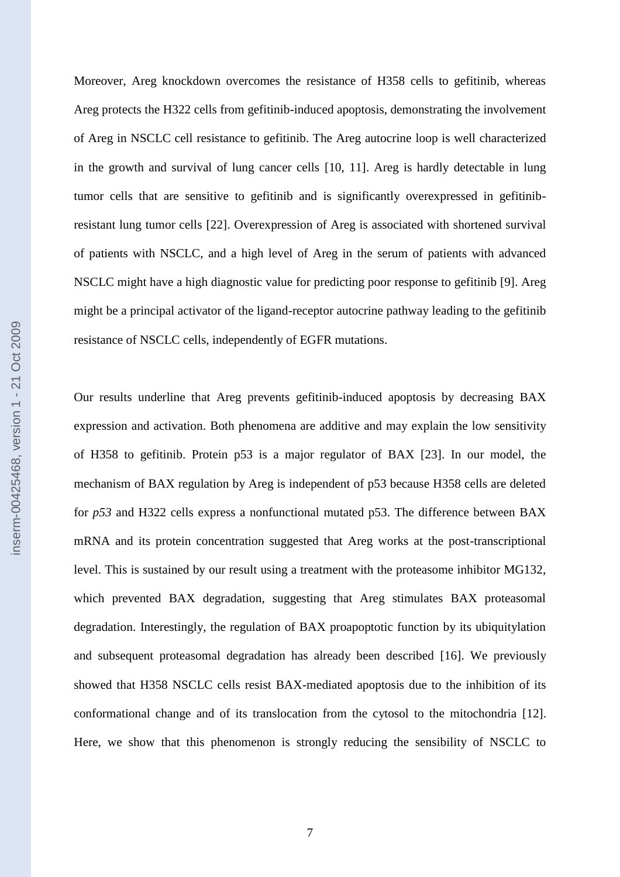Moreover, Areg knockdown overcomes the resistance of H358 cells to gefitinib, whereas Areg protects the H322 cells from gefitinib-induced apoptosis, demonstrating the involvement of Areg in NSCLC cell resistance to gefitinib. The Areg autocrine loop is well characterized in the growth and survival of lung cancer cells [10, 11]. Areg is hardly detectable in lung tumor cells that are sensitive to gefitinib and is significantly overexpressed in gefitinibresistant lung tumor cells [22]. Overexpression of Areg is associated with shortened survival of patients with NSCLC, and a high level of Areg in the serum of patients with advanced NSCLC might have a high diagnostic value for predicting poor response to gefitinib [9]. Areg might be a principal activator of the ligand-receptor autocrine pathway leading to the gefitinib resistance of NSCLC cells, independently of EGFR mutations.

Our results underline that Areg prevents gefitinib-induced apoptosis by decreasing BAX expression and activation. Both phenomena are additive and may explain the low sensitivity of H358 to gefitinib. Protein p53 is a major regulator of BAX [23]. In our model, the mechanism of BAX regulation by Areg is independent of p53 because H358 cells are deleted for *p53* and H322 cells express a nonfunctional mutated p53. The difference between BAX mRNA and its protein concentration suggested that Areg works at the post-transcriptional level. This is sustained by our result using a treatment with the proteasome inhibitor MG132, which prevented BAX degradation, suggesting that Areg stimulates BAX proteasomal degradation. Interestingly, the regulation of BAX proapoptotic function by its ubiquitylation and subsequent proteasomal degradation has already been described [16]. We previously showed that H358 NSCLC cells resist BAX-mediated apoptosis due to the inhibition of its conformational change and of its translocation from the cytosol to the mitochondria [12]. Here, we show that this phenomenon is strongly reducing the sensibility of NSCLC to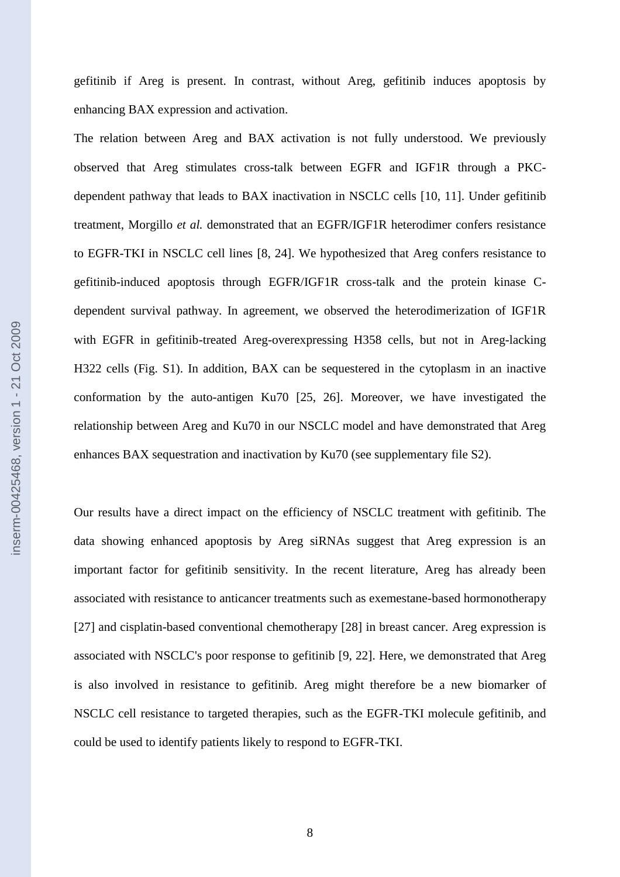gefitinib if Areg is present. In contrast, without Areg, gefitinib induces apoptosis by enhancing BAX expression and activation.

The relation between Areg and BAX activation is not fully understood. We previously observed that Areg stimulates cross-talk between EGFR and IGF1R through a PKCdependent pathway that leads to BAX inactivation in NSCLC cells [10, 11]. Under gefitinib treatment, Morgillo *et al.* demonstrated that an EGFR/IGF1R heterodimer confers resistance to EGFR-TKI in NSCLC cell lines [8, 24]. We hypothesized that Areg confers resistance to gefitinib-induced apoptosis through EGFR/IGF1R cross-talk and the protein kinase Cdependent survival pathway. In agreement, we observed the heterodimerization of IGF1R with EGFR in gefitinib-treated Areg-overexpressing H358 cells, but not in Areg-lacking H322 cells (Fig. S1). In addition, BAX can be sequestered in the cytoplasm in an inactive conformation by the auto-antigen Ku70 [25, 26]. Moreover, we have investigated the relationship between Areg and Ku70 in our NSCLC model and have demonstrated that Areg enhances BAX sequestration and inactivation by Ku70 (see supplementary file S2).

Our results have a direct impact on the efficiency of NSCLC treatment with gefitinib. The data showing enhanced apoptosis by Areg siRNAs suggest that Areg expression is an important factor for gefitinib sensitivity. In the recent literature, Areg has already been associated with resistance to anticancer treatments such as exemestane-based hormonotherapy [27] and cisplatin-based conventional chemotherapy [28] in breast cancer. Areg expression is associated with NSCLC's poor response to gefitinib [9, 22]. Here, we demonstrated that Areg is also involved in resistance to gefitinib. Areg might therefore be a new biomarker of NSCLC cell resistance to targeted therapies, such as the EGFR-TKI molecule gefitinib, and could be used to identify patients likely to respond to EGFR-TKI.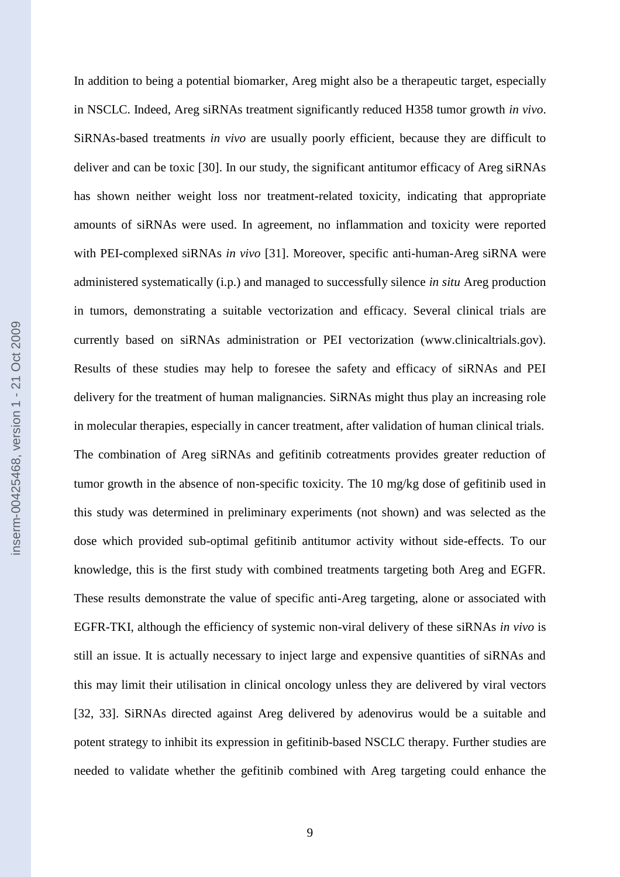In addition to being a potential biomarker, Areg might also be a therapeutic target, especially in NSCLC. Indeed, Areg siRNAs treatment significantly reduced H358 tumor growth *in vivo*. SiRNAs-based treatments *in vivo* are usually poorly efficient, because they are difficult to deliver and can be toxic [30]. In our study, the significant antitumor efficacy of Areg siRNAs has shown neither weight loss nor treatment-related toxicity, indicating that appropriate amounts of siRNAs were used. In agreement, no inflammation and toxicity were reported with PEI-complexed siRNAs *in vivo* [31]. Moreover, specific anti-human-Areg siRNA were administered systematically (i.p.) and managed to successfully silence *in situ* Areg production in tumors, demonstrating a suitable vectorization and efficacy. Several clinical trials are currently based on siRNAs administration or PEI vectorization (www.clinicaltrials.gov). Results of these studies may help to foresee the safety and efficacy of siRNAs and PEI delivery for the treatment of human malignancies. SiRNAs might thus play an increasing role in molecular therapies, especially in cancer treatment, after validation of human clinical trials. The combination of Areg siRNAs and gefitinib cotreatments provides greater reduction of tumor growth in the absence of non-specific toxicity. The 10 mg/kg dose of gefitinib used in this study was determined in preliminary experiments (not shown) and was selected as the dose which provided sub-optimal gefitinib antitumor activity without side-effects. To our knowledge, this is the first study with combined treatments targeting both Areg and EGFR. These results demonstrate the value of specific anti-Areg targeting, alone or associated with EGFR-TKI, although the efficiency of systemic non-viral delivery of these siRNAs *in vivo* is still an issue. It is actually necessary to inject large and expensive quantities of siRNAs and this may limit their utilisation in clinical oncology unless they are delivered by viral vectors [32, 33]. SiRNAs directed against Areg delivered by adenovirus would be a suitable and potent strategy to inhibit its expression in gefitinib-based NSCLC therapy. Further studies are needed to validate whether the gefitinib combined with Areg targeting could enhance the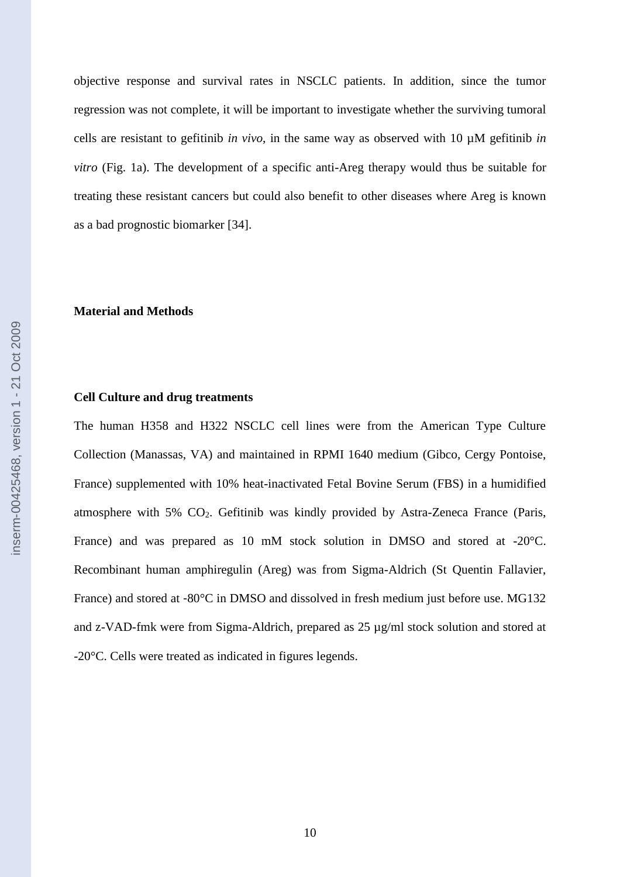objective response and survival rates in NSCLC patients. In addition, since the tumor regression was not complete, it will be important to investigate whether the surviving tumoral cells are resistant to gefitinib *in vivo*, in the same way as observed with 10 µM gefitinib *in vitro* (Fig. 1a). The development of a specific anti-Areg therapy would thus be suitable for treating these resistant cancers but could also benefit to other diseases where Areg is known as a bad prognostic biomarker [34].

#### **Material and Methods**

#### **Cell Culture and drug treatments**

The human H358 and H322 NSCLC cell lines were from the American Type Culture Collection (Manassas, VA) and maintained in RPMI 1640 medium (Gibco, Cergy Pontoise, France) supplemented with 10% heat-inactivated Fetal Bovine Serum (FBS) in a humidified atmosphere with 5%  $CO<sub>2</sub>$ . Gefitinib was kindly provided by Astra-Zeneca France (Paris, France) and was prepared as 10 mM stock solution in DMSO and stored at -20°C. Recombinant human amphiregulin (Areg) was from Sigma-Aldrich (St Quentin Fallavier, France) and stored at -80°C in DMSO and dissolved in fresh medium just before use. MG132 and z-VAD-fmk were from Sigma-Aldrich, prepared as 25 µg/ml stock solution and stored at -20°C. Cells were treated as indicated in figures legends.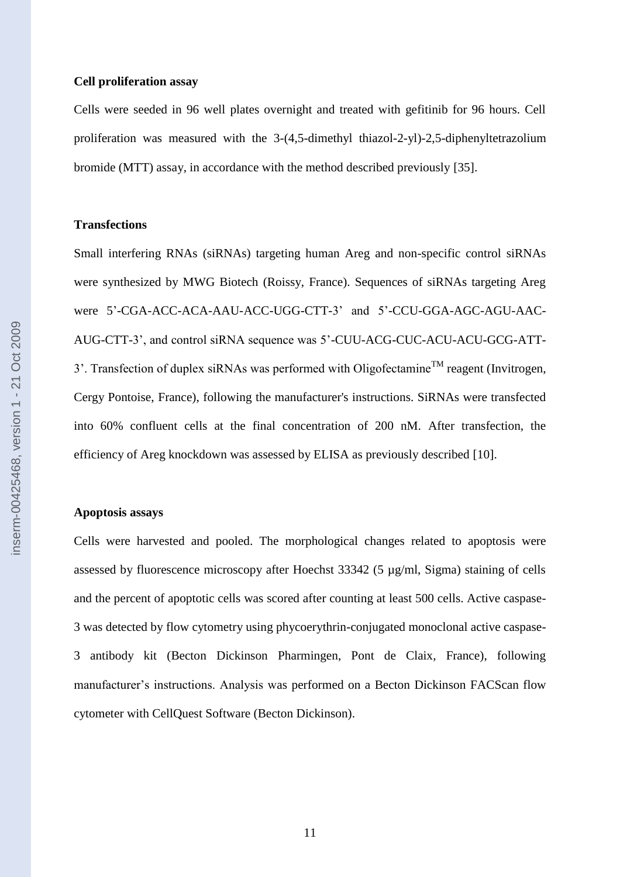#### **Cell proliferation assay**

Cells were seeded in 96 well plates overnight and treated with gefitinib for 96 hours. Cell proliferation was measured with the 3-(4,5-dimethyl thiazol-2-yl)-2,5-diphenyltetrazolium bromide (MTT) assay, in accordance with the method described previously [35].

#### **Transfections**

Small interfering RNAs (siRNAs) targeting human Areg and non-specific control siRNAs were synthesized by MWG Biotech (Roissy, France). Sequences of siRNAs targeting Areg were 5'-CGA-ACC-ACA-AAU-ACC-UGG-CTT-3' and 5'-CCU-GGA-AGC-AGU-AAC-AUG-CTT-3', and control siRNA sequence was 5'-CUU-ACG-CUC-ACU-ACU-GCG-ATT-3'. Transfection of duplex siRNAs was performed with Oligofectamine<sup>TM</sup> reagent (Invitrogen, Cergy Pontoise, France), following the manufacturer's instructions. SiRNAs were transfected into 60% confluent cells at the final concentration of 200 nM. After transfection, the efficiency of Areg knockdown was assessed by ELISA as previously described [10].

#### **Apoptosis assays**

Cells were harvested and pooled. The morphological changes related to apoptosis were assessed by fluorescence microscopy after Hoechst 33342 (5 µg/ml, Sigma) staining of cells and the percent of apoptotic cells was scored after counting at least 500 cells. Active caspase-3 was detected by flow cytometry using phycoerythrin-conjugated monoclonal active caspase-3 antibody kit (Becton Dickinson Pharmingen, Pont de Claix, France), following manufacturer's instructions. Analysis was performed on a Becton Dickinson FACScan flow cytometer with CellQuest Software (Becton Dickinson).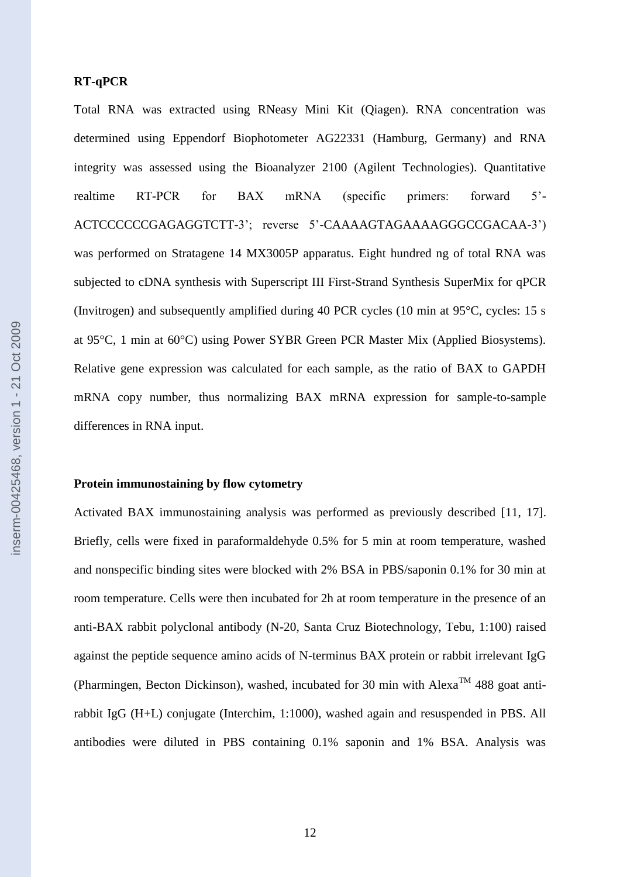## **RT-qPCR**

Total RNA was extracted using RNeasy Mini Kit (Qiagen). RNA concentration was determined using Eppendorf Biophotometer AG22331 (Hamburg, Germany) and RNA integrity was assessed using the Bioanalyzer 2100 (Agilent Technologies). Quantitative realtime RT-PCR for BAX mRNA (specific primers: forward 5'- ACTCCCCCCGAGAGGTCTT-3'; reverse 5'-CAAAAGTAGAAAAGGGCCGACAA-3') was performed on Stratagene 14 MX3005P apparatus. Eight hundred ng of total RNA was subjected to cDNA synthesis with Superscript III First-Strand Synthesis SuperMix for qPCR (Invitrogen) and subsequently amplified during 40 PCR cycles (10 min at 95°C, cycles: 15 s at 95°C, 1 min at 60°C) using Power SYBR Green PCR Master Mix (Applied Biosystems). Relative gene expression was calculated for each sample, as the ratio of BAX to GAPDH mRNA copy number, thus normalizing BAX mRNA expression for sample-to-sample differences in RNA input.

## **Protein immunostaining by flow cytometry**

Activated BAX immunostaining analysis was performed as previously described [11, 17]. Briefly, cells were fixed in paraformaldehyde 0.5% for 5 min at room temperature, washed and nonspecific binding sites were blocked with 2% BSA in PBS/saponin 0.1% for 30 min at room temperature. Cells were then incubated for 2h at room temperature in the presence of an anti-BAX rabbit polyclonal antibody (N-20, Santa Cruz Biotechnology, Tebu, 1:100) raised against the peptide sequence amino acids of N-terminus BAX protein or rabbit irrelevant IgG (Pharmingen, Becton Dickinson), washed, incubated for 30 min with Alexa<sup>TM</sup> 488 goat antirabbit IgG (H+L) conjugate (Interchim, 1:1000), washed again and resuspended in PBS. All antibodies were diluted in PBS containing 0.1% saponin and 1% BSA. Analysis was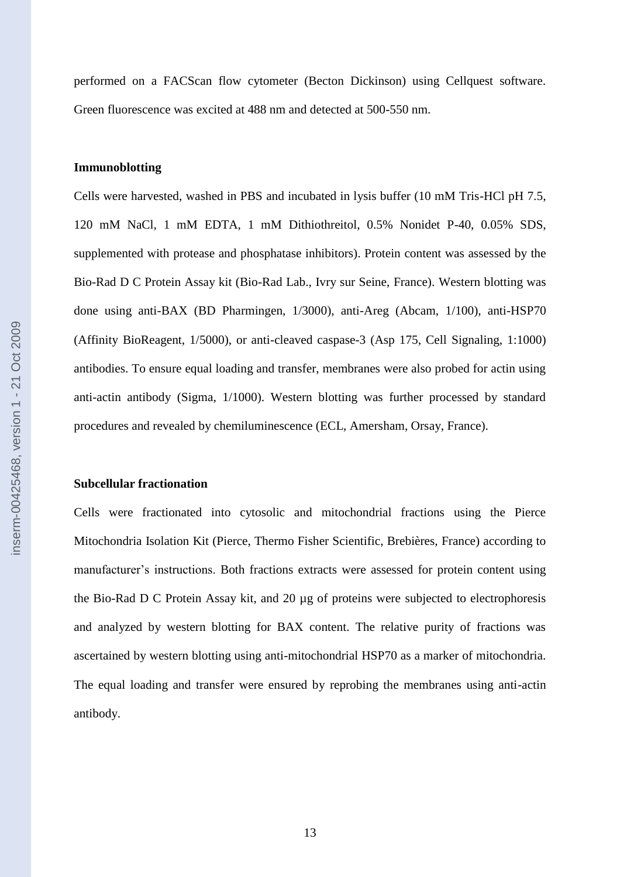performed on a FACScan flow cytometer (Becton Dickinson) using Cellquest software. Green fluorescence was excited at 488 nm and detected at 500-550 nm.

## **Immunoblotting**

Cells were harvested, washed in PBS and incubated in lysis buffer (10 mM Tris-HCl pH 7.5, 120 mM NaCl, 1 mM EDTA, 1 mM Dithiothreitol, 0.5% Nonidet P-40, 0.05% SDS, supplemented with protease and phosphatase inhibitors). Protein content was assessed by the Bio-Rad D C Protein Assay kit (Bio-Rad Lab., Ivry sur Seine, France). Western blotting was done using anti-BAX (BD Pharmingen, 1/3000), anti-Areg (Abcam, 1/100), anti-HSP70 (Affinity BioReagent, 1/5000), or anti-cleaved caspase-3 (Asp 175, Cell Signaling, 1:1000) antibodies. To ensure equal loading and transfer, membranes were also probed for actin using anti-actin antibody (Sigma, 1/1000). Western blotting was further processed by standard procedures and revealed by chemiluminescence (ECL, Amersham, Orsay, France).

## **Subcellular fractionation**

Cells were fractionated into cytosolic and mitochondrial fractions using the Pierce Mitochondria Isolation Kit (Pierce, Thermo Fisher Scientific, Brebières, France) according to manufacturer's instructions. Both fractions extracts were assessed for protein content using the Bio-Rad D C Protein Assay kit, and 20 µg of proteins were subjected to electrophoresis and analyzed by western blotting for BAX content. The relative purity of fractions was ascertained by western blotting using anti-mitochondrial HSP70 as a marker of mitochondria. The equal loading and transfer were ensured by reprobing the membranes using anti-actin antibody.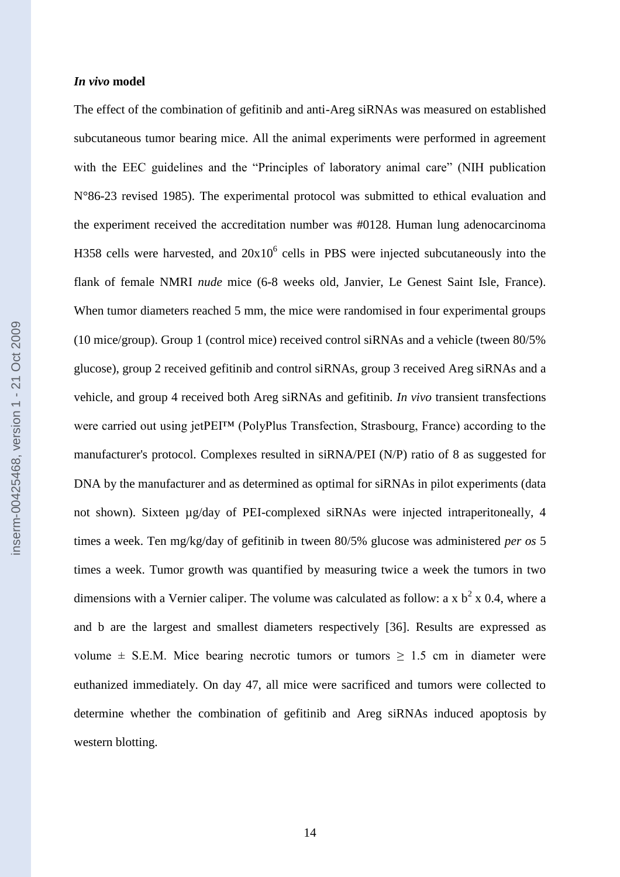#### *In vivo* **model**

The effect of the combination of gefitinib and anti-Areg siRNAs was measured on established subcutaneous tumor bearing mice. All the animal experiments were performed in agreement with the EEC guidelines and the "Principles of laboratory animal care" (NIH publication N°86-23 revised 1985). The experimental protocol was submitted to ethical evaluation and the experiment received the accreditation number was #0128. Human lung adenocarcinoma H358 cells were harvested, and  $20x10^6$  cells in PBS were injected subcutaneously into the flank of female NMRI *nude* mice (6-8 weeks old, Janvier, Le Genest Saint Isle, France). When tumor diameters reached 5 mm, the mice were randomised in four experimental groups (10 mice/group). Group 1 (control mice) received control siRNAs and a vehicle (tween 80/5% glucose), group 2 received gefitinib and control siRNAs, group 3 received Areg siRNAs and a vehicle, and group 4 received both Areg siRNAs and gefitinib. *In vivo* transient transfections were carried out using jetPEI™ (PolyPlus Transfection, Strasbourg, France) according to the manufacturer's protocol. Complexes resulted in siRNA/PEI (N/P) ratio of 8 as suggested for DNA by the manufacturer and as determined as optimal for siRNAs in pilot experiments (data not shown). Sixteen µg/day of PEI-complexed siRNAs were injected intraperitoneally, 4 times a week. Ten mg/kg/day of gefitinib in tween 80/5% glucose was administered *per os* 5 times a week. Tumor growth was quantified by measuring twice a week the tumors in two dimensions with a Vernier caliper. The volume was calculated as follow: a x  $b<sup>2</sup>$  x 0.4, where a and b are the largest and smallest diameters respectively [36]. Results are expressed as volume  $\pm$  S.E.M. Mice bearing necrotic tumors or tumors  $\geq$  1.5 cm in diameter were euthanized immediately. On day 47, all mice were sacrificed and tumors were collected to determine whether the combination of gefitinib and Areg siRNAs induced apoptosis by western blotting.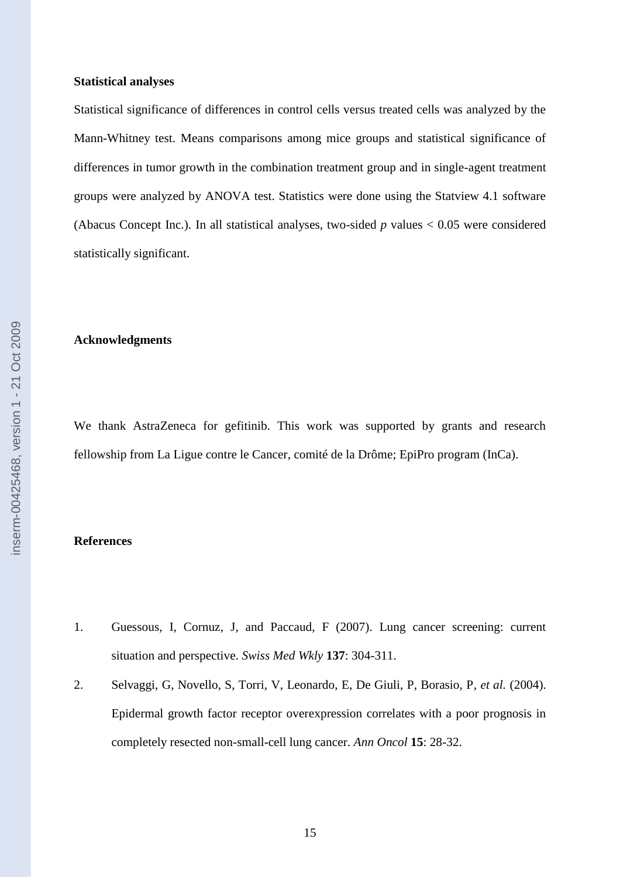#### **Statistical analyses**

Statistical significance of differences in control cells versus treated cells was analyzed by the Mann-Whitney test. Means comparisons among mice groups and statistical significance of differences in tumor growth in the combination treatment group and in single-agent treatment groups were analyzed by ANOVA test. Statistics were done using the Statview 4.1 software (Abacus Concept Inc.). In all statistical analyses, two-sided *p* values < 0.05 were considered statistically significant.

#### **Acknowledgments**

We thank AstraZeneca for gefitinib. This work was supported by grants and research fellowship from La Ligue contre le Cancer, comité de la Drôme; EpiPro program (InCa).

## **References**

- 1. Guessous, I, Cornuz, J, and Paccaud, F (2007). Lung cancer screening: current situation and perspective. *Swiss Med Wkly* **137**: 304-311.
- 2. Selvaggi, G, Novello, S, Torri, V, Leonardo, E, De Giuli, P, Borasio, P*, et al.* (2004). Epidermal growth factor receptor overexpression correlates with a poor prognosis in completely resected non-small-cell lung cancer. *Ann Oncol* **15**: 28-32.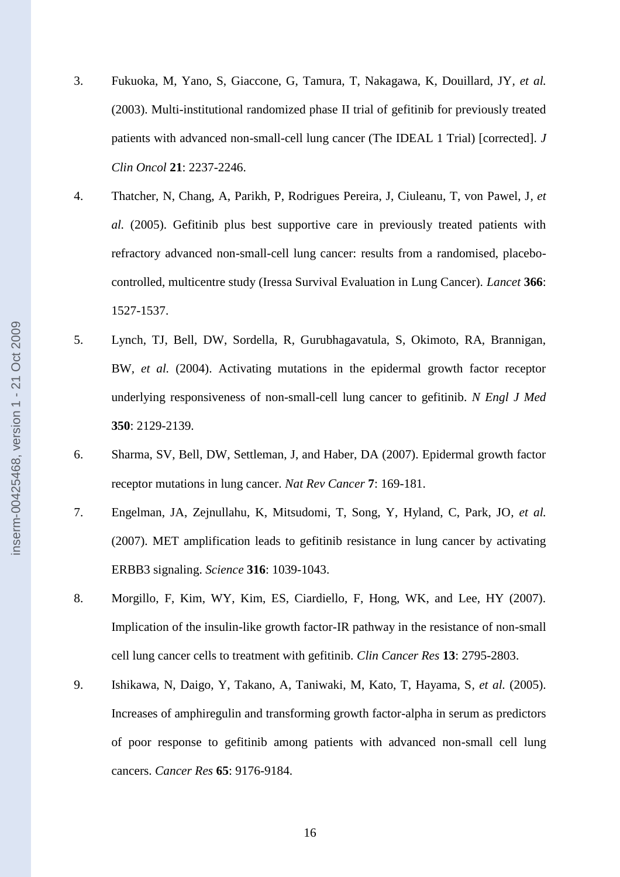- 3. Fukuoka, M, Yano, S, Giaccone, G, Tamura, T, Nakagawa, K, Douillard, JY*, et al.* (2003). Multi-institutional randomized phase II trial of gefitinib for previously treated patients with advanced non-small-cell lung cancer (The IDEAL 1 Trial) [corrected]. *J Clin Oncol* **21**: 2237-2246.
- 4. Thatcher, N, Chang, A, Parikh, P, Rodrigues Pereira, J, Ciuleanu, T, von Pawel, J*, et al.* (2005). Gefitinib plus best supportive care in previously treated patients with refractory advanced non-small-cell lung cancer: results from a randomised, placebocontrolled, multicentre study (Iressa Survival Evaluation in Lung Cancer). *Lancet* **366**: 1527-1537.
- 5. Lynch, TJ, Bell, DW, Sordella, R, Gurubhagavatula, S, Okimoto, RA, Brannigan, BW*, et al.* (2004). Activating mutations in the epidermal growth factor receptor underlying responsiveness of non-small-cell lung cancer to gefitinib. *N Engl J Med* **350**: 2129-2139.
- 6. Sharma, SV, Bell, DW, Settleman, J, and Haber, DA (2007). Epidermal growth factor receptor mutations in lung cancer. *Nat Rev Cancer* **7**: 169-181.
- 7. Engelman, JA, Zejnullahu, K, Mitsudomi, T, Song, Y, Hyland, C, Park, JO*, et al.* (2007). MET amplification leads to gefitinib resistance in lung cancer by activating ERBB3 signaling. *Science* **316**: 1039-1043.
- 8. Morgillo, F, Kim, WY, Kim, ES, Ciardiello, F, Hong, WK, and Lee, HY (2007). Implication of the insulin-like growth factor-IR pathway in the resistance of non-small cell lung cancer cells to treatment with gefitinib. *Clin Cancer Res* **13**: 2795-2803.
- 9. Ishikawa, N, Daigo, Y, Takano, A, Taniwaki, M, Kato, T, Hayama, S*, et al.* (2005). Increases of amphiregulin and transforming growth factor-alpha in serum as predictors of poor response to gefitinib among patients with advanced non-small cell lung cancers. *Cancer Res* **65**: 9176-9184.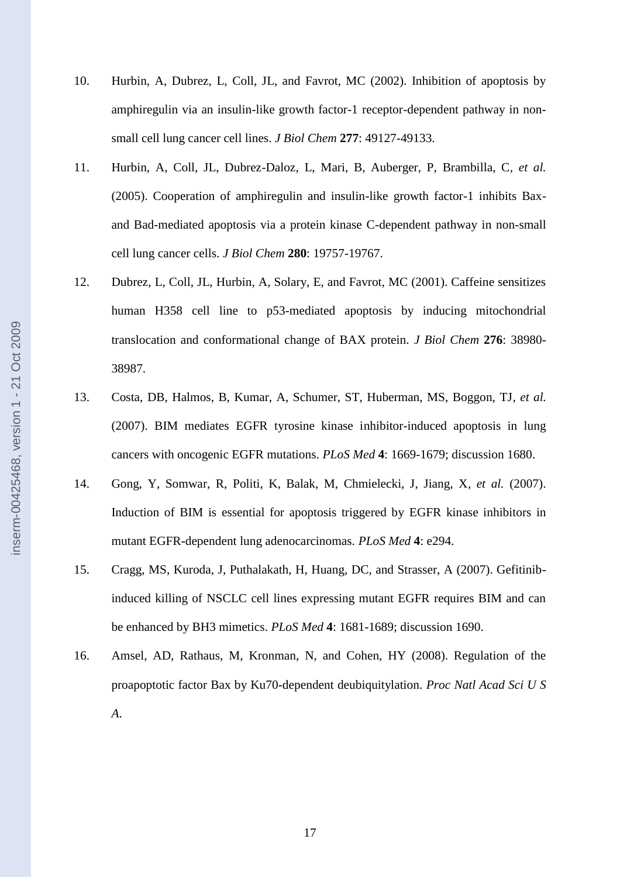- 10. Hurbin, A, Dubrez, L, Coll, JL, and Favrot, MC (2002). Inhibition of apoptosis by amphiregulin via an insulin-like growth factor-1 receptor-dependent pathway in nonsmall cell lung cancer cell lines. *J Biol Chem* **277**: 49127-49133.
- 11. Hurbin, A, Coll, JL, Dubrez-Daloz, L, Mari, B, Auberger, P, Brambilla, C*, et al.* (2005). Cooperation of amphiregulin and insulin-like growth factor-1 inhibits Baxand Bad-mediated apoptosis via a protein kinase C-dependent pathway in non-small cell lung cancer cells. *J Biol Chem* **280**: 19757-19767.
- 12. Dubrez, L, Coll, JL, Hurbin, A, Solary, E, and Favrot, MC (2001). Caffeine sensitizes human H358 cell line to p53-mediated apoptosis by inducing mitochondrial translocation and conformational change of BAX protein. *J Biol Chem* **276**: 38980- 38987.
- 13. Costa, DB, Halmos, B, Kumar, A, Schumer, ST, Huberman, MS, Boggon, TJ*, et al.* (2007). BIM mediates EGFR tyrosine kinase inhibitor-induced apoptosis in lung cancers with oncogenic EGFR mutations. *PLoS Med* **4**: 1669-1679; discussion 1680.
- 14. Gong, Y, Somwar, R, Politi, K, Balak, M, Chmielecki, J, Jiang, X*, et al.* (2007). Induction of BIM is essential for apoptosis triggered by EGFR kinase inhibitors in mutant EGFR-dependent lung adenocarcinomas. *PLoS Med* **4**: e294.
- 15. Cragg, MS, Kuroda, J, Puthalakath, H, Huang, DC, and Strasser, A (2007). Gefitinibinduced killing of NSCLC cell lines expressing mutant EGFR requires BIM and can be enhanced by BH3 mimetics. *PLoS Med* **4**: 1681-1689; discussion 1690.
- 16. Amsel, AD, Rathaus, M, Kronman, N, and Cohen, HY (2008). Regulation of the proapoptotic factor Bax by Ku70-dependent deubiquitylation. *Proc Natl Acad Sci U S A*.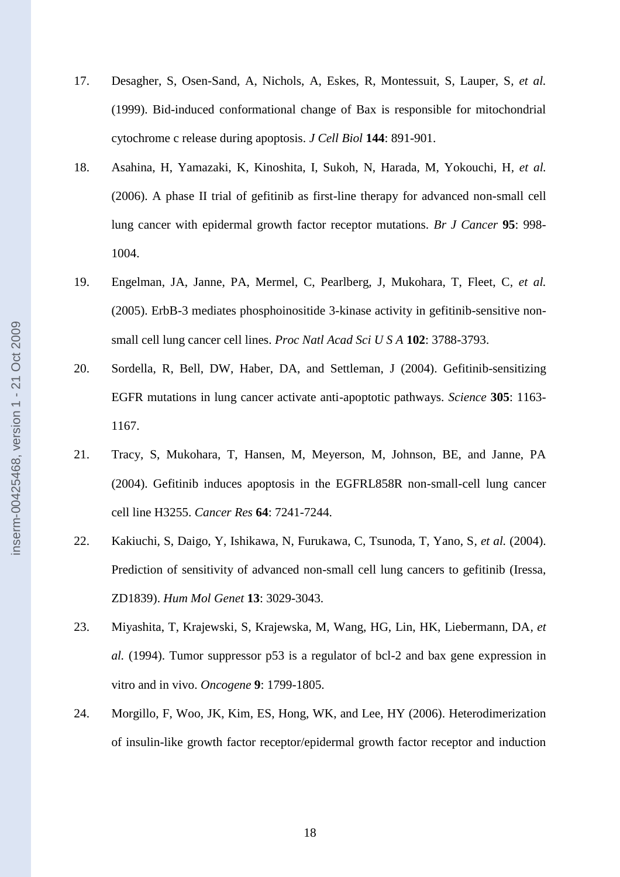- 17. Desagher, S, Osen-Sand, A, Nichols, A, Eskes, R, Montessuit, S, Lauper, S*, et al.* (1999). Bid-induced conformational change of Bax is responsible for mitochondrial cytochrome c release during apoptosis. *J Cell Biol* **144**: 891-901.
- 18. Asahina, H, Yamazaki, K, Kinoshita, I, Sukoh, N, Harada, M, Yokouchi, H*, et al.* (2006). A phase II trial of gefitinib as first-line therapy for advanced non-small cell lung cancer with epidermal growth factor receptor mutations. *Br J Cancer* **95**: 998- 1004.
- 19. Engelman, JA, Janne, PA, Mermel, C, Pearlberg, J, Mukohara, T, Fleet, C*, et al.* (2005). ErbB-3 mediates phosphoinositide 3-kinase activity in gefitinib-sensitive nonsmall cell lung cancer cell lines. *Proc Natl Acad Sci U S A* **102**: 3788-3793.
- 20. Sordella, R, Bell, DW, Haber, DA, and Settleman, J (2004). Gefitinib-sensitizing EGFR mutations in lung cancer activate anti-apoptotic pathways. *Science* **305**: 1163- 1167.
- 21. Tracy, S, Mukohara, T, Hansen, M, Meyerson, M, Johnson, BE, and Janne, PA (2004). Gefitinib induces apoptosis in the EGFRL858R non-small-cell lung cancer cell line H3255. *Cancer Res* **64**: 7241-7244.
- 22. Kakiuchi, S, Daigo, Y, Ishikawa, N, Furukawa, C, Tsunoda, T, Yano, S*, et al.* (2004). Prediction of sensitivity of advanced non-small cell lung cancers to gefitinib (Iressa, ZD1839). *Hum Mol Genet* **13**: 3029-3043.
- 23. Miyashita, T, Krajewski, S, Krajewska, M, Wang, HG, Lin, HK, Liebermann, DA*, et al.* (1994). Tumor suppressor p53 is a regulator of bcl-2 and bax gene expression in vitro and in vivo. *Oncogene* **9**: 1799-1805.
- 24. Morgillo, F, Woo, JK, Kim, ES, Hong, WK, and Lee, HY (2006). Heterodimerization of insulin-like growth factor receptor/epidermal growth factor receptor and induction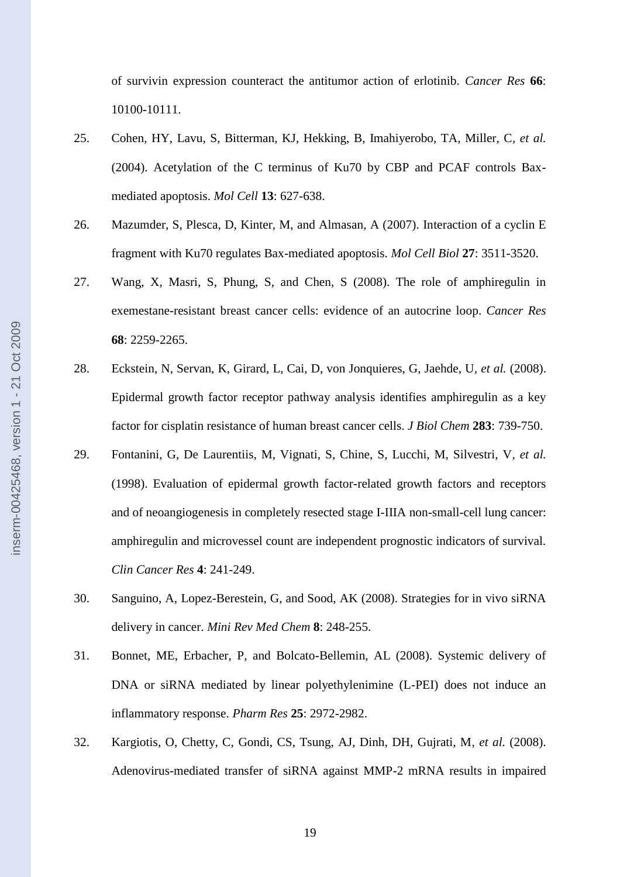of survivin expression counteract the antitumor action of erlotinib. *Cancer Res* **66**: 10100-10111.

- 25. Cohen, HY, Lavu, S, Bitterman, KJ, Hekking, B, Imahiyerobo, TA, Miller, C*, et al.* (2004). Acetylation of the C terminus of Ku70 by CBP and PCAF controls Baxmediated apoptosis. *Mol Cell* **13**: 627-638.
- 26. Mazumder, S, Plesca, D, Kinter, M, and Almasan, A (2007). Interaction of a cyclin E fragment with Ku70 regulates Bax-mediated apoptosis. *Mol Cell Biol* **27**: 3511-3520.
- 27. Wang, X, Masri, S, Phung, S, and Chen, S (2008). The role of amphiregulin in exemestane-resistant breast cancer cells: evidence of an autocrine loop. *Cancer Res* **68**: 2259-2265.
- 28. Eckstein, N, Servan, K, Girard, L, Cai, D, von Jonquieres, G, Jaehde, U*, et al.* (2008). Epidermal growth factor receptor pathway analysis identifies amphiregulin as a key factor for cisplatin resistance of human breast cancer cells. *J Biol Chem* **283**: 739-750.
- 29. Fontanini, G, De Laurentiis, M, Vignati, S, Chine, S, Lucchi, M, Silvestri, V*, et al.* (1998). Evaluation of epidermal growth factor-related growth factors and receptors and of neoangiogenesis in completely resected stage I-IIIA non-small-cell lung cancer: amphiregulin and microvessel count are independent prognostic indicators of survival. *Clin Cancer Res* **4**: 241-249.
- 30. Sanguino, A, Lopez-Berestein, G, and Sood, AK (2008). Strategies for in vivo siRNA delivery in cancer. *Mini Rev Med Chem* **8**: 248-255.
- 31. Bonnet, ME, Erbacher, P, and Bolcato-Bellemin, AL (2008). Systemic delivery of DNA or siRNA mediated by linear polyethylenimine (L-PEI) does not induce an inflammatory response. *Pharm Res* **25**: 2972-2982.
- 32. Kargiotis, O, Chetty, C, Gondi, CS, Tsung, AJ, Dinh, DH, Gujrati, M*, et al.* (2008). Adenovirus-mediated transfer of siRNA against MMP-2 mRNA results in impaired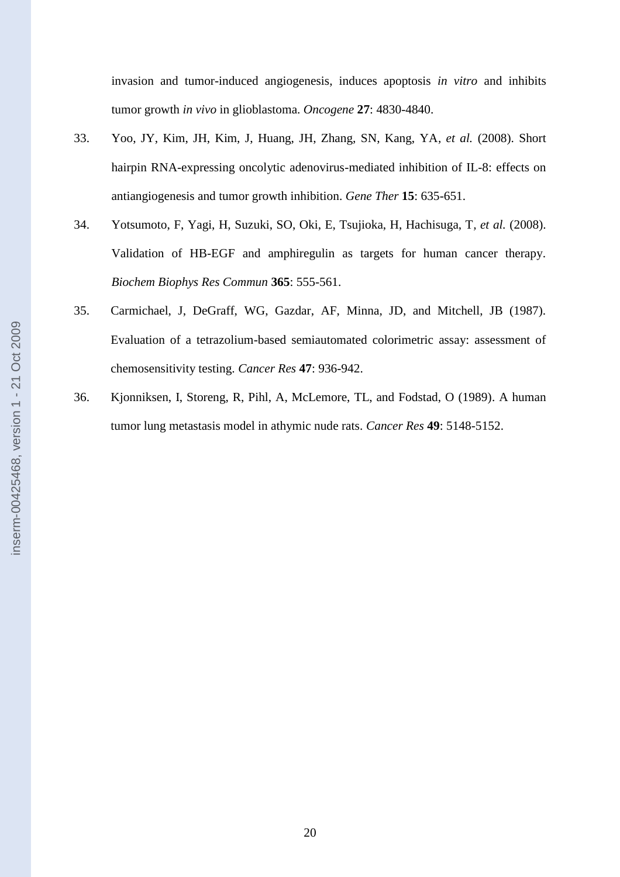invasion and tumor-induced angiogenesis, induces apoptosis *in vitro* and inhibits tumor growth *in vivo* in glioblastoma. *Oncogene* **27**: 4830-4840.

- 33. Yoo, JY, Kim, JH, Kim, J, Huang, JH, Zhang, SN, Kang, YA*, et al.* (2008). Short hairpin RNA-expressing oncolytic adenovirus-mediated inhibition of IL-8: effects on antiangiogenesis and tumor growth inhibition. *Gene Ther* **15**: 635-651.
- 34. Yotsumoto, F, Yagi, H, Suzuki, SO, Oki, E, Tsujioka, H, Hachisuga, T*, et al.* (2008). Validation of HB-EGF and amphiregulin as targets for human cancer therapy. *Biochem Biophys Res Commun* **365**: 555-561.
- 35. Carmichael, J, DeGraff, WG, Gazdar, AF, Minna, JD, and Mitchell, JB (1987). Evaluation of a tetrazolium-based semiautomated colorimetric assay: assessment of chemosensitivity testing. *Cancer Res* **47**: 936-942.
- 36. Kjonniksen, I, Storeng, R, Pihl, A, McLemore, TL, and Fodstad, O (1989). A human tumor lung metastasis model in athymic nude rats. *Cancer Res* **49**: 5148-5152.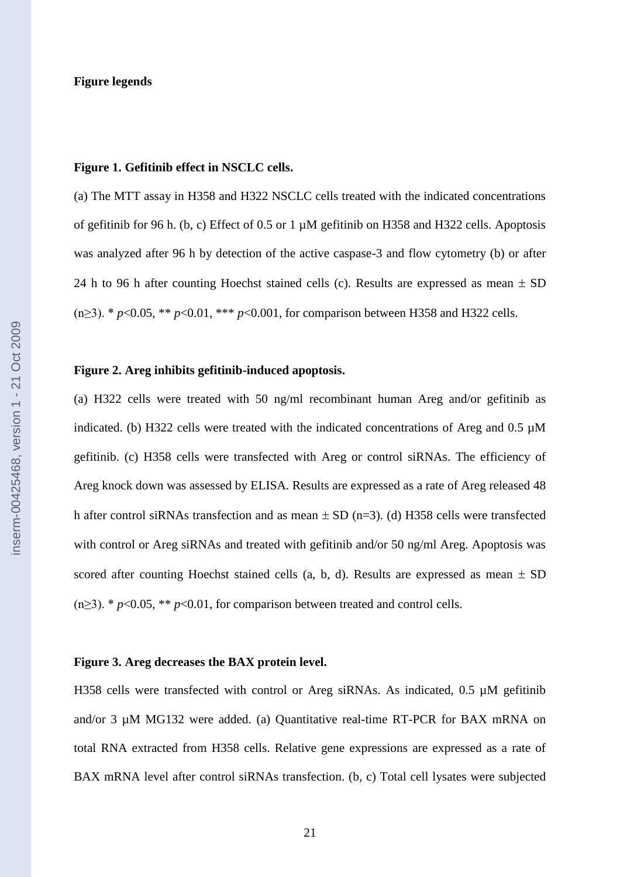#### **Figure 1. Gefitinib effect in NSCLC cells.**

(a) The MTT assay in H358 and H322 NSCLC cells treated with the indicated concentrations of gefitinib for 96 h. (b, c) Effect of 0.5 or 1 µM gefitinib on H358 and H322 cells. Apoptosis was analyzed after 96 h by detection of the active caspase-3 and flow cytometry (b) or after 24 h to 96 h after counting Hoechst stained cells (c). Results are expressed as mean  $\pm$  SD (n≥3). \* *p*<0.05, \*\* *p*<0.01, \*\*\* *p*<0.001, for comparison between H358 and H322 cells.

## **Figure 2. Areg inhibits gefitinib-induced apoptosis.**

(a) H322 cells were treated with 50 ng/ml recombinant human Areg and/or gefitinib as indicated. (b) H322 cells were treated with the indicated concentrations of Areg and  $0.5 \mu M$ gefitinib. (c) H358 cells were transfected with Areg or control siRNAs. The efficiency of Areg knock down was assessed by ELISA. Results are expressed as a rate of Areg released 48 h after control siRNAs transfection and as mean  $\pm$  SD (n=3). (d) H358 cells were transfected with control or Areg siRNAs and treated with gefitinib and/or 50 ng/ml Areg. Apoptosis was scored after counting Hoechst stained cells (a, b, d). Results are expressed as mean  $\pm$  SD  $(n \geq 3)$ . \* *p*<0.05, \*\* *p*<0.01, for comparison between treated and control cells.

#### **Figure 3. Areg decreases the BAX protein level.**

H358 cells were transfected with control or Areg siRNAs. As indicated, 0.5  $\mu$ M gefitinib and/or 3  $\mu$ M MG132 were added. (a) Quantitative real-time RT-PCR for BAX mRNA on total RNA extracted from H358 cells. Relative gene expressions are expressed as a rate of BAX mRNA level after control siRNAs transfection. (b, c) Total cell lysates were subjected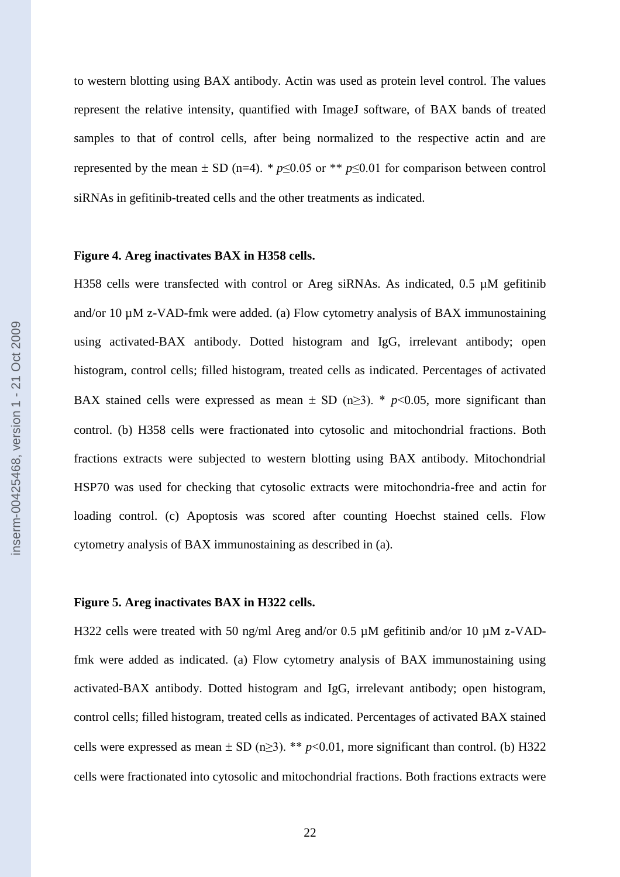to western blotting using BAX antibody. Actin was used as protein level control. The values represent the relative intensity, quantified with ImageJ software, of BAX bands of treated samples to that of control cells, after being normalized to the respective actin and are represented by the mean  $\pm$  SD (n=4). *\* p*≤0.05 or *\*\* p*≤0.01 for comparison between control siRNAs in gefitinib-treated cells and the other treatments as indicated.

## **Figure 4. Areg inactivates BAX in H358 cells.**

H358 cells were transfected with control or Areg siRNAs. As indicated, 0.5  $\mu$ M gefitinib and/or 10  $\mu$ M z-VAD-fmk were added. (a) Flow cytometry analysis of BAX immunostaining using activated-BAX antibody. Dotted histogram and IgG, irrelevant antibody; open histogram, control cells; filled histogram, treated cells as indicated. Percentages of activated BAX stained cells were expressed as mean  $\pm$  SD (n≥3). \* *p*<0.05, more significant than control. (b) H358 cells were fractionated into cytosolic and mitochondrial fractions. Both fractions extracts were subjected to western blotting using BAX antibody. Mitochondrial HSP70 was used for checking that cytosolic extracts were mitochondria-free and actin for loading control. (c) Apoptosis was scored after counting Hoechst stained cells. Flow cytometry analysis of BAX immunostaining as described in (a).

## **Figure 5. Areg inactivates BAX in H322 cells.**

H322 cells were treated with 50 ng/ml Areg and/or 0.5  $\mu$ M gefitinib and/or 10  $\mu$ M z-VADfmk were added as indicated. (a) Flow cytometry analysis of BAX immunostaining using activated-BAX antibody. Dotted histogram and IgG, irrelevant antibody; open histogram, control cells; filled histogram, treated cells as indicated. Percentages of activated BAX stained cells were expressed as mean  $\pm$  SD (n $\geq$ 3). \*\* *p*<0.01, more significant than control. (b) H322 cells were fractionated into cytosolic and mitochondrial fractions. Both fractions extracts were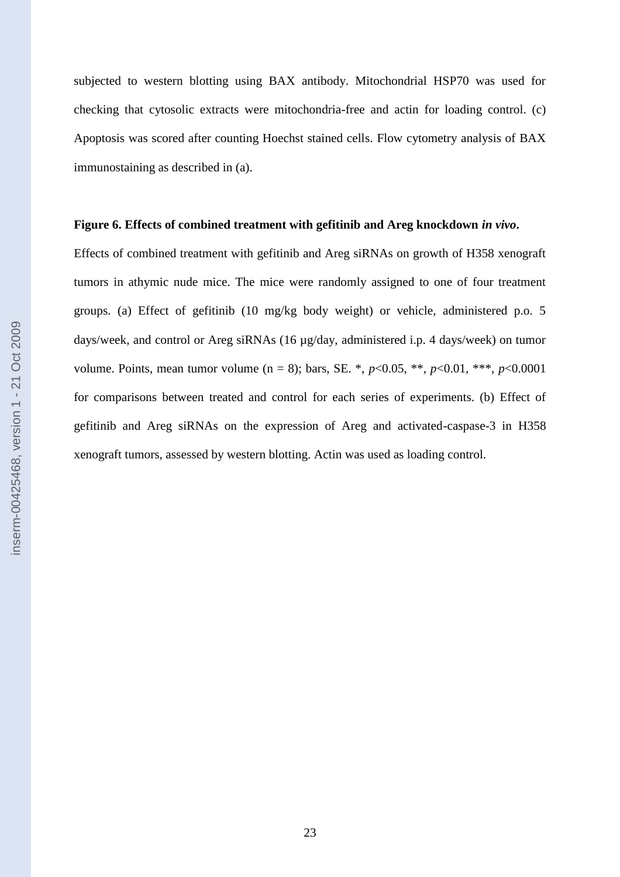subjected to western blotting using BAX antibody. Mitochondrial HSP70 was used for checking that cytosolic extracts were mitochondria-free and actin for loading control. (c) Apoptosis was scored after counting Hoechst stained cells. Flow cytometry analysis of BAX immunostaining as described in (a).

#### **Figure 6. Effects of combined treatment with gefitinib and Areg knockdown** *in vivo***.**

Effects of combined treatment with gefitinib and Areg siRNAs on growth of H358 xenograft tumors in athymic nude mice. The mice were randomly assigned to one of four treatment groups. (a) Effect of gefitinib (10 mg/kg body weight) or vehicle, administered p.o. 5 days/week, and control or Areg siRNAs (16 µg/day, administered i.p. 4 days/week) on tumor volume. Points, mean tumor volume (n = 8); bars, SE. \*, *p*<0.05, \*\*, *p*<0.01, \*\*\*, *p*<0.0001 for comparisons between treated and control for each series of experiments. (b) Effect of gefitinib and Areg siRNAs on the expression of Areg and activated-caspase-3 in H358 xenograft tumors, assessed by western blotting. Actin was used as loading control.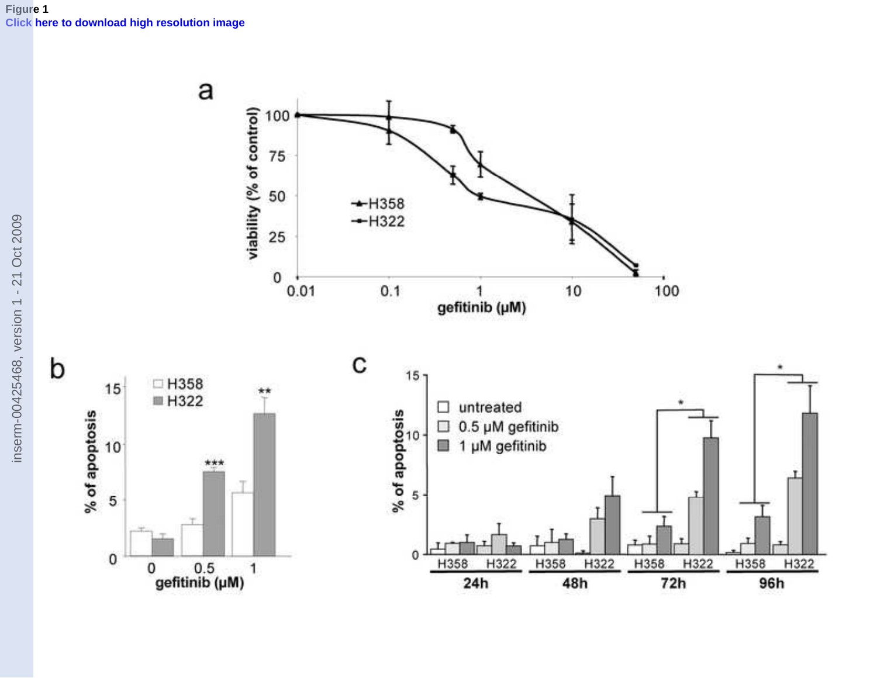

[inserm](http://www.editorialmanager.com/mthe/download.aspx?id=184781&guid=f662b7e6-6a62-41cd-95ba-39236635f3ab&scheme=1)-00425468, version 1 - 21 Oct 2009

inserm-00425468, version 1 - 21 Oct 2009

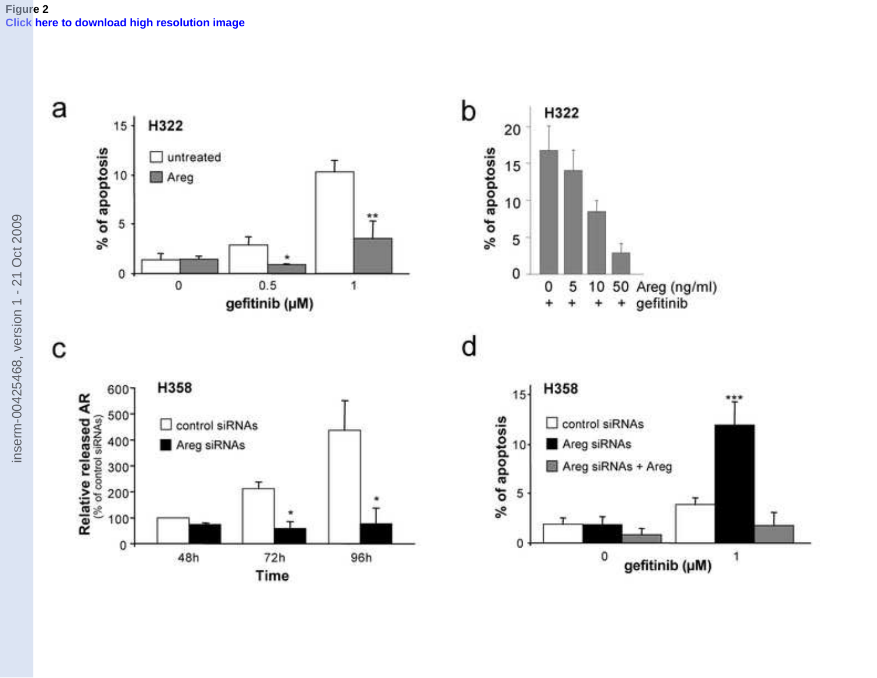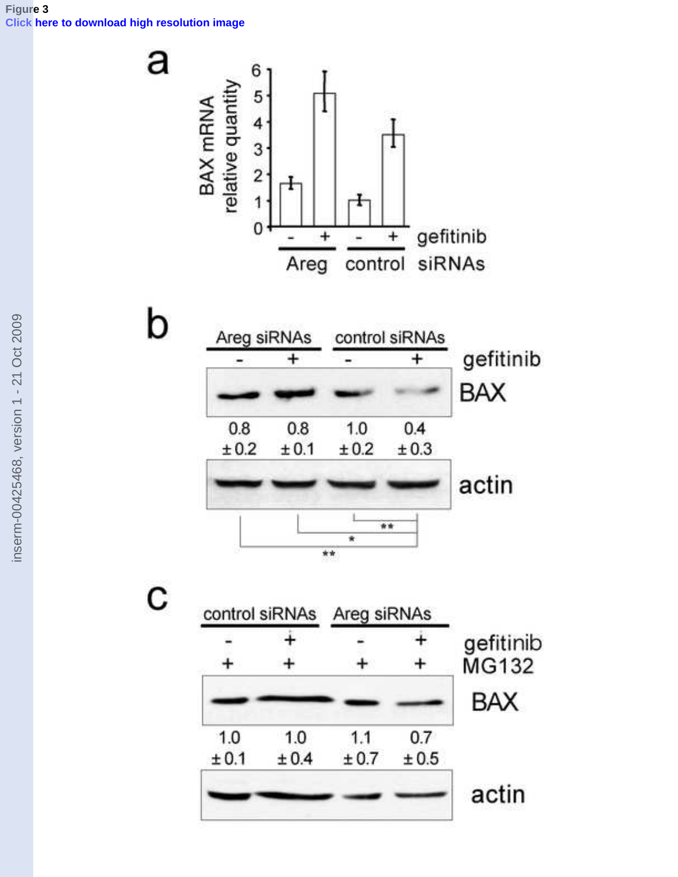## **Figure 3 [Click here to download high resolution image](http://www.editorialmanager.com/mthe/download.aspx?id=184783&guid=ca3f8fca-b41e-4ced-9a6e-27a63f9461aa&scheme=1)**

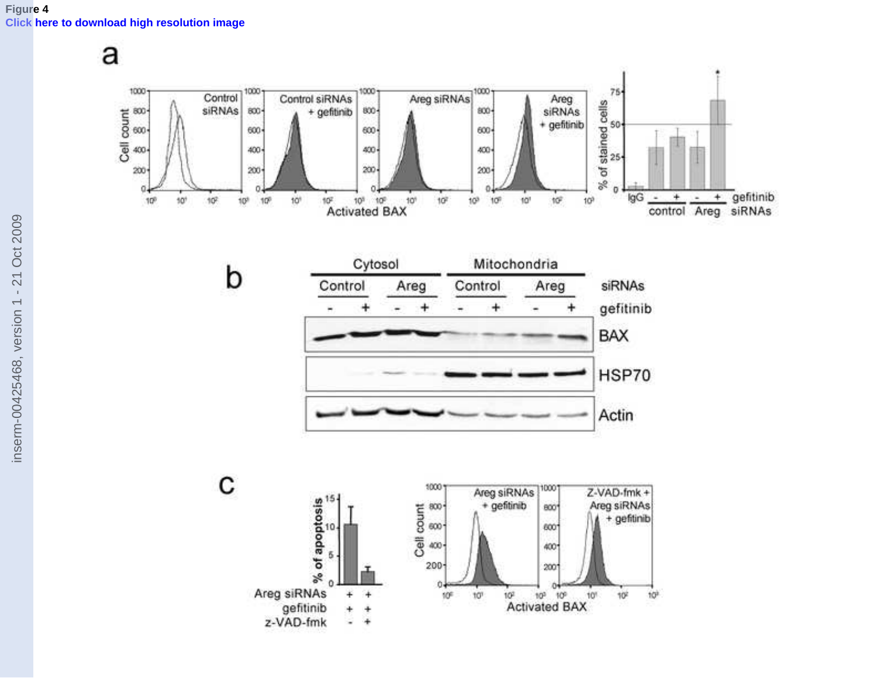

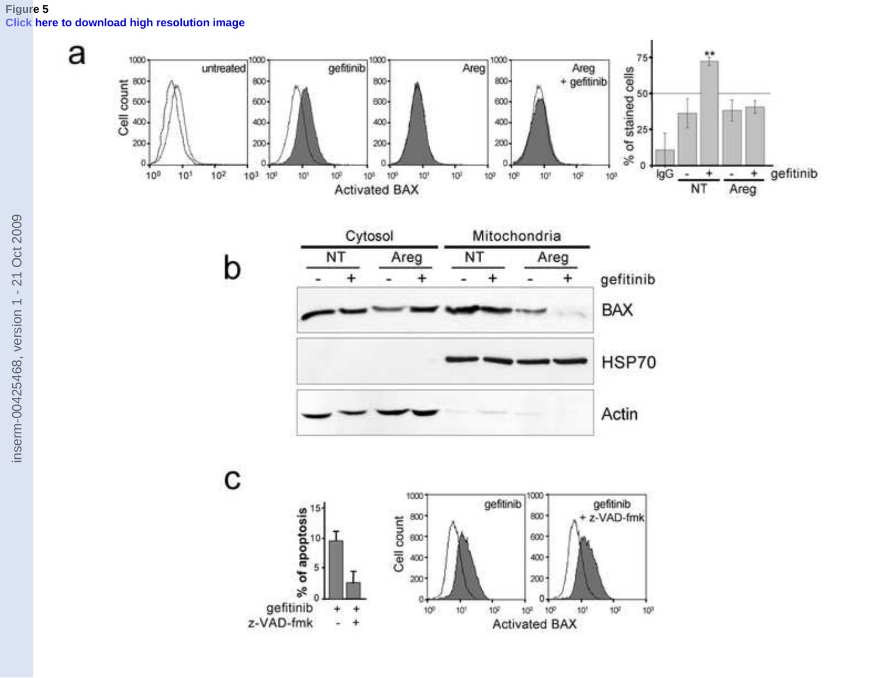

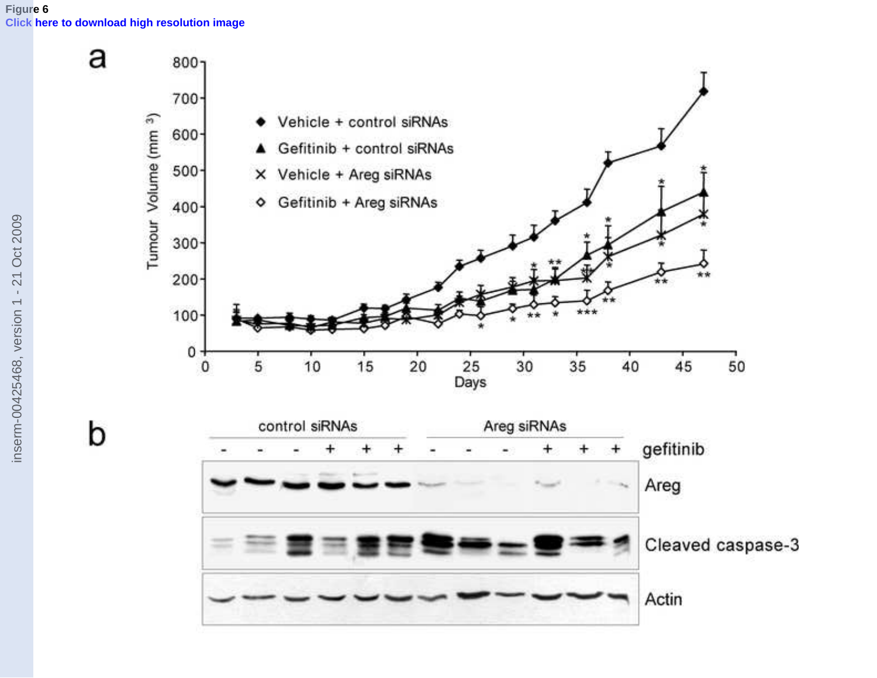

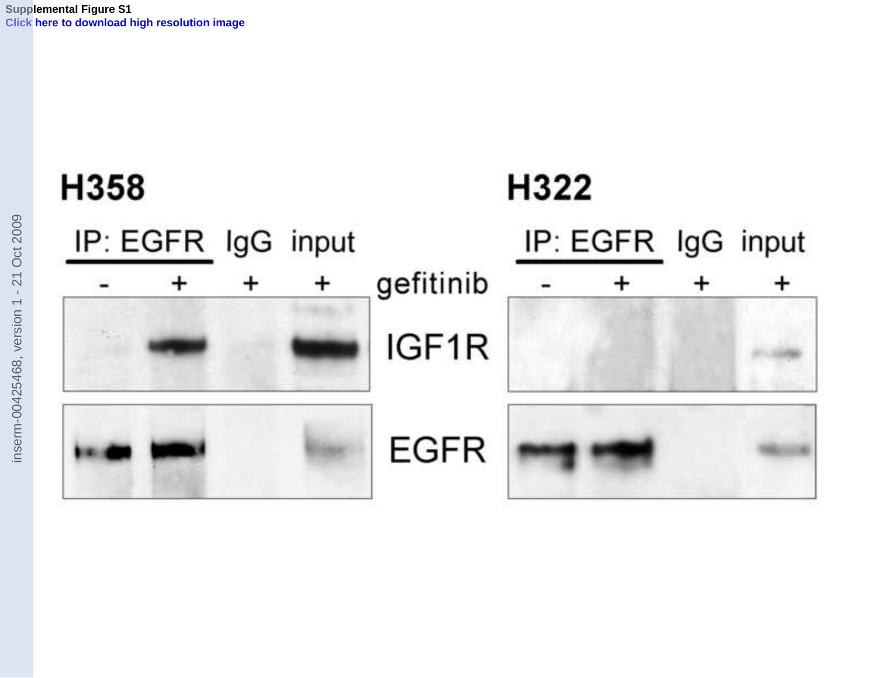